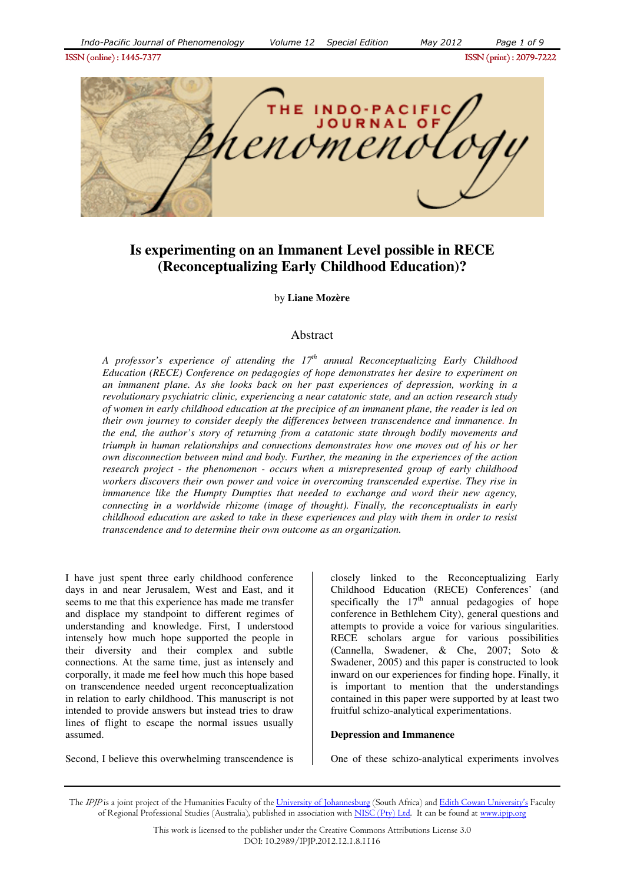

# **Is experimenting on an Immanent Level possible in RECE (Reconceptualizing Early Childhood Education)?**

#### by **Liane Mozère**

## Abstract

*A professor's experience of attending the 17th annual Reconceptualizing Early Childhood Education (RECE) Conference on pedagogies of hope demonstrates her desire to experiment on an immanent plane. As she looks back on her past experiences of depression, working in a revolutionary psychiatric clinic, experiencing a near catatonic state, and an action research study of women in early childhood education at the precipice of an immanent plane, the reader is led on their own journey to consider deeply the differences between transcendence and immanence. In the end, the author's story of returning from a catatonic state through bodily movements and triumph in human relationships and connections demonstrates how one moves out of his or her own disconnection between mind and body. Further, the meaning in the experiences of the action research project - the phenomenon - occurs when a misrepresented group of early childhood workers discovers their own power and voice in overcoming transcended expertise. They rise in immanence like the Humpty Dumpties that needed to exchange and word their new agency, connecting in a worldwide rhizome (image of thought). Finally, the reconceptualists in early childhood education are asked to take in these experiences and play with them in order to resist transcendence and to determine their own outcome as an organization.* 

I have just spent three early childhood conference days in and near Jerusalem, West and East, and it seems to me that this experience has made me transfer and displace my standpoint to different regimes of understanding and knowledge. First, I understood intensely how much hope supported the people in their diversity and their complex and subtle connections. At the same time, just as intensely and corporally, it made me feel how much this hope based on transcendence needed urgent reconceptualization in relation to early childhood. This manuscript is not intended to provide answers but instead tries to draw lines of flight to escape the normal issues usually assumed.

Second, I believe this overwhelming transcendence is

closely linked to the Reconceptualizing Early Childhood Education (RECE) Conferences' (and specifically the  $17<sup>th</sup>$  annual pedagogies of hope conference in Bethlehem City), general questions and attempts to provide a voice for various singularities. RECE scholars argue for various possibilities (Cannella, Swadener, & Che, 2007; Soto & Swadener, 2005) and this paper is constructed to look inward on our experiences for finding hope. Finally, it is important to mention that the understandings contained in this paper were supported by at least two fruitful schizo-analytical experimentations.

#### **Depression and Immanence**

One of these schizo-analytical experiments involves

The IPJP is a joint project of the Humanities Faculty of the University of Johannesburg (South Africa) and Edith Cowan University's Faculty of Regional Professional Studies (Australia), published in association with NISC (Pty) Ltd. It can be found at www.ipjp.org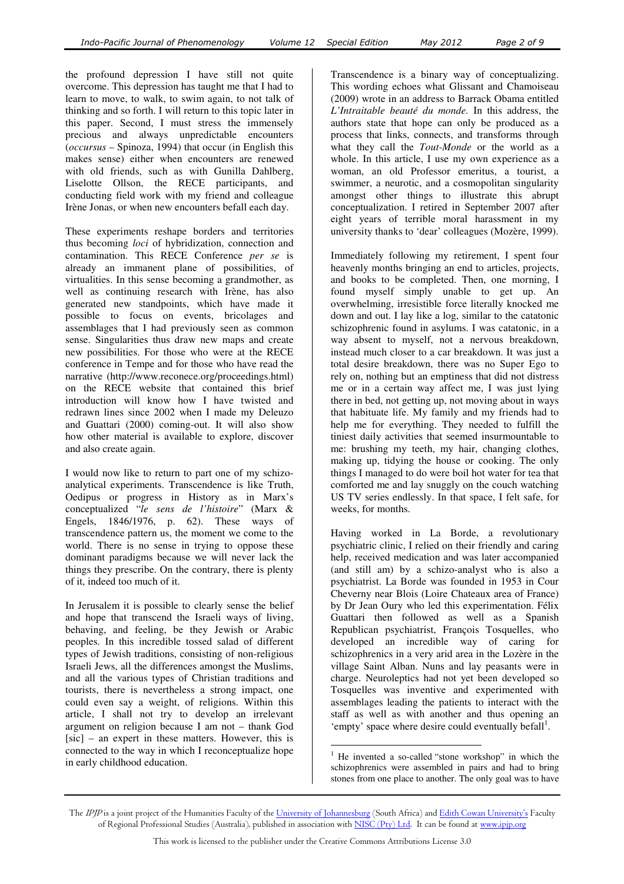the profound depression I have still not quite overcome. This depression has taught me that I had to learn to move, to walk, to swim again, to not talk of thinking and so forth. I will return to this topic later in this paper. Second, I must stress the immensely precious and always unpredictable encounters (*occursus* – Spinoza, 1994) that occur (in English this makes sense) either when encounters are renewed with old friends, such as with Gunilla Dahlberg, Liselotte Ollson, the RECE participants, and conducting field work with my friend and colleague Irène Jonas, or when new encounters befall each day.

These experiments reshape borders and territories thus becoming *loci* of hybridization, connection and contamination. This RECE Conference *per se* is already an immanent plane of possibilities, of virtualities. In this sense becoming a grandmother, as well as continuing research with Irène, has also generated new standpoints, which have made it possible to focus on events, bricolages and assemblages that I had previously seen as common sense. Singularities thus draw new maps and create new possibilities. For those who were at the RECE conference in Tempe and for those who have read the narrative (http://www.reconece.org/proceedings.html) on the RECE website that contained this brief introduction will know how I have twisted and redrawn lines since 2002 when I made my Deleuzo and Guattari (2000) coming-out. It will also show how other material is available to explore, discover and also create again.

I would now like to return to part one of my schizoanalytical experiments. Transcendence is like Truth, Oedipus or progress in History as in Marx's conceptualized "*le sens de l'histoire*" (Marx & Engels, 1846/1976, p. 62). These ways of transcendence pattern us, the moment we come to the world. There is no sense in trying to oppose these dominant paradigms because we will never lack the things they prescribe. On the contrary, there is plenty of it, indeed too much of it.

In Jerusalem it is possible to clearly sense the belief and hope that transcend the Israeli ways of living, behaving, and feeling, be they Jewish or Arabic peoples. In this incredible tossed salad of different types of Jewish traditions, consisting of non-religious Israeli Jews, all the differences amongst the Muslims, and all the various types of Christian traditions and tourists, there is nevertheless a strong impact, one could even say a weight, of religions. Within this article, I shall not try to develop an irrelevant argument on religion because I am not – thank God [sic] – an expert in these matters. However, this is connected to the way in which I reconceptualize hope in early childhood education.

Transcendence is a binary way of conceptualizing. This wording echoes what Glissant and Chamoiseau (2009) wrote in an address to Barrack Obama entitled *L'Intraitable beauté du monde.* In this address, the authors state that hope can only be produced as a process that links, connects, and transforms through what they call the *Tout-Monde* or the world as a whole. In this article, I use my own experience as a woman, an old Professor emeritus, a tourist, a swimmer, a neurotic, and a cosmopolitan singularity amongst other things to illustrate this abrupt conceptualization. I retired in September 2007 after eight years of terrible moral harassment in my university thanks to 'dear' colleagues (Mozère, 1999).

Immediately following my retirement, I spent four heavenly months bringing an end to articles, projects, and books to be completed. Then, one morning, I found myself simply unable to get up. An overwhelming, irresistible force literally knocked me down and out. I lay like a log, similar to the catatonic schizophrenic found in asylums. I was catatonic, in a way absent to myself, not a nervous breakdown, instead much closer to a car breakdown. It was just a total desire breakdown, there was no Super Ego to rely on, nothing but an emptiness that did not distress me or in a certain way affect me, I was just lying there in bed, not getting up, not moving about in ways that habituate life. My family and my friends had to help me for everything. They needed to fulfill the tiniest daily activities that seemed insurmountable to me: brushing my teeth, my hair, changing clothes, making up, tidying the house or cooking. The only things I managed to do were boil hot water for tea that comforted me and lay snuggly on the couch watching US TV series endlessly. In that space, I felt safe, for weeks, for months.

Having worked in La Borde, a revolutionary psychiatric clinic, I relied on their friendly and caring help, received medication and was later accompanied (and still am) by a schizo-analyst who is also a psychiatrist. La Borde was founded in 1953 in Cour Cheverny near Blois (Loire Chateaux area of France) by Dr Jean Oury who led this experimentation. Félix Guattari then followed as well as a Spanish Republican psychiatrist, François Tosquelles, who developed an incredible way of caring for schizophrenics in a very arid area in the Lozère in the village Saint Alban. Nuns and lay peasants were in charge. Neuroleptics had not yet been developed so Tosquelles was inventive and experimented with assemblages leading the patients to interact with the staff as well as with another and thus opening an 'empty' space where desire could eventually befall<sup>1</sup>.

 $\overline{a}$ 

<sup>&</sup>lt;sup>1</sup> He invented a so-called "stone workshop" in which the schizophrenics were assembled in pairs and had to bring stones from one place to another. The only goal was to have

The IPJP is a joint project of the Humanities Faculty of the University of Johannesburg (South Africa) and Edith Cowan University's Faculty of Regional Professional Studies (Australia), published in association with NISC (Pty) Ltd. It can be found at www.ipjp.org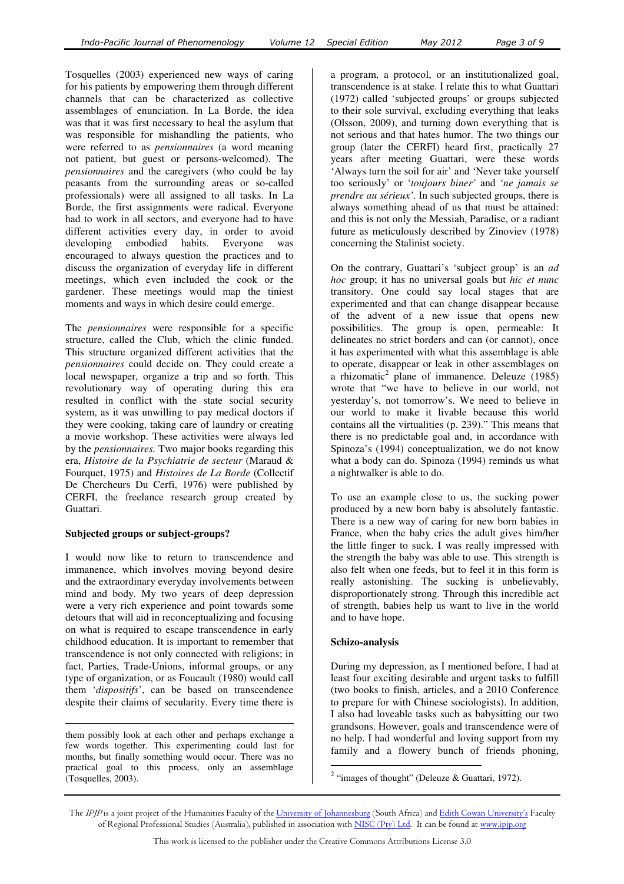Tosquelles (2003) experienced new ways of caring for his patients by empowering them through different channels that can be characterized as collective assemblages of enunciation. In La Borde, the idea was that it was first necessary to heal the asylum that was responsible for mishandling the patients, who were referred to as *pensionnaires* (a word meaning not patient, but guest or persons-welcomed). The *pensionnaires* and the caregivers (who could be lay peasants from the surrounding areas or so-called professionals) were all assigned to all tasks. In La Borde, the first assignments were radical. Everyone had to work in all sectors, and everyone had to have different activities every day, in order to avoid developing embodied habits. Everyone was encouraged to always question the practices and to discuss the organization of everyday life in different meetings, which even included the cook or the gardener. These meetings would map the tiniest moments and ways in which desire could emerge.

The *pensionnaires* were responsible for a specific structure, called the Club, which the clinic funded. This structure organized different activities that the *pensionnaires* could decide on. They could create a local newspaper, organize a trip and so forth. This revolutionary way of operating during this era resulted in conflict with the state social security system, as it was unwilling to pay medical doctors if they were cooking, taking care of laundry or creating a movie workshop. These activities were always led by the *pensionnaires.* Two major books regarding this era, *Histoire de la Psychiatrie de secteur* (Maraud & Fourquet, 1975) and *Histoires de La Borde* (Collectif De Chercheurs Du Cerfi, 1976) were published by CERFI, the freelance research group created by Guattari.

# **Subjected groups or subject-groups?**

 $\overline{a}$ 

I would now like to return to transcendence and immanence, which involves moving beyond desire and the extraordinary everyday involvements between mind and body. My two years of deep depression were a very rich experience and point towards some detours that will aid in reconceptualizing and focusing on what is required to escape transcendence in early childhood education. It is important to remember that transcendence is not only connected with religions; in fact, Parties, Trade-Unions, informal groups, or any type of organization, or as Foucault (1980) would call them '*dispositifs*', can be based on transcendence despite their claims of secularity. Every time there is

them possibly look at each other and perhaps exchange a few words together. This experimenting could last for months, but finally something would occur. There was no practical goal to this process, only an assemblage (Tosquelles, 2003).

a program, a protocol, or an institutionalized goal, transcendence is at stake. I relate this to what Guattari (1972) called 'subjected groups' or groups subjected to their sole survival, excluding everything that leaks (Olsson, 2009), and turning down everything that is not serious and that hates humor. The two things our group (later the CERFI) heard first, practically 27 years after meeting Guattari, were these words 'Always turn the soil for air' and 'Never take yourself too seriously' or '*toujours biner'* and '*ne jamais se prendre au sérieux'.* In such subjected groups, there is always something ahead of us that must be attained: and this is not only the Messiah, Paradise, or a radiant future as meticulously described by Zinoviev (1978) concerning the Stalinist society.

On the contrary, Guattari's 'subject group' is an *ad hoc* group; it has no universal goals but *hic et nunc* transitory. One could say local stages that are experimented and that can change disappear because of the advent of a new issue that opens new possibilities. The group is open, permeable: It delineates no strict borders and can (or cannot), once it has experimented with what this assemblage is able to operate, disappear or leak in other assemblages on a rhizomatic<sup>2</sup> plane of immanence. Deleuze  $(1985)$ wrote that "we have to believe in our world, not yesterday's, not tomorrow's. We need to believe in our world to make it livable because this world contains all the virtualities (p. 239)." This means that there is no predictable goal and, in accordance with Spinoza's (1994) conceptualization, we do not know what a body can do. Spinoza (1994) reminds us what a nightwalker is able to do.

To use an example close to us, the sucking power produced by a new born baby is absolutely fantastic. There is a new way of caring for new born babies in France, when the baby cries the adult gives him/her the little finger to suck. I was really impressed with the strength the baby was able to use. This strength is also felt when one feeds, but to feel it in this form is really astonishing. The sucking is unbelievably, disproportionately strong. Through this incredible act of strength, babies help us want to live in the world and to have hope.

## **Schizo-analysis**

During my depression, as I mentioned before, I had at least four exciting desirable and urgent tasks to fulfill (two books to finish, articles, and a 2010 Conference to prepare for with Chinese sociologists). In addition, I also had loveable tasks such as babysitting our two grandsons. However, goals and transcendence were of no help. I had wonderful and loving support from my family and a flowery bunch of friends phoning,

 $\overline{a}$ 

<sup>&</sup>lt;sup>2</sup> "images of thought" (Deleuze & Guattari, 1972).

The IPJP is a joint project of the Humanities Faculty of the University of Johannesburg (South Africa) and Edith Cowan University's Faculty of Regional Professional Studies (Australia), published in association with NISC (Pty) Ltd. It can be found at www.ipjp.org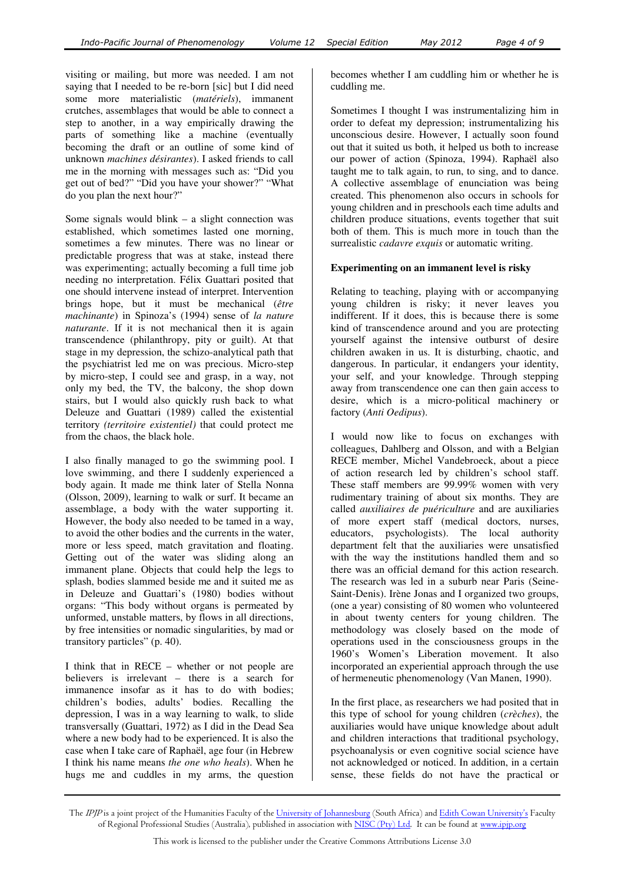visiting or mailing, but more was needed. I am not saying that I needed to be re-born [sic] but I did need some more materialistic (*matériels*), immanent crutches, assemblages that would be able to connect a step to another, in a way empirically drawing the parts of something like a machine (eventually becoming the draft or an outline of some kind of unknown *machines désirantes*). I asked friends to call me in the morning with messages such as: "Did you get out of bed?" "Did you have your shower?" "What do you plan the next hour?"

Some signals would blink  $-$  a slight connection was established, which sometimes lasted one morning, sometimes a few minutes. There was no linear or predictable progress that was at stake, instead there was experimenting; actually becoming a full time job needing no interpretation. Félix Guattari posited that one should intervene instead of interpret. Intervention brings hope, but it must be mechanical (*être machinante*) in Spinoza's (1994) sense of *la nature naturante*. If it is not mechanical then it is again transcendence (philanthropy, pity or guilt). At that stage in my depression, the schizo-analytical path that the psychiatrist led me on was precious. Micro-step by micro-step, I could see and grasp, in a way, not only my bed, the TV, the balcony, the shop down stairs, but I would also quickly rush back to what Deleuze and Guattari (1989) called the existential territory *(territoire existentiel)* that could protect me from the chaos, the black hole.

I also finally managed to go the swimming pool. I love swimming, and there I suddenly experienced a body again. It made me think later of Stella Nonna (Olsson, 2009), learning to walk or surf. It became an assemblage, a body with the water supporting it. However, the body also needed to be tamed in a way, to avoid the other bodies and the currents in the water, more or less speed, match gravitation and floating. Getting out of the water was sliding along an immanent plane. Objects that could help the legs to splash, bodies slammed beside me and it suited me as in Deleuze and Guattari's (1980) bodies without organs: "This body without organs is permeated by unformed, unstable matters, by flows in all directions, by free intensities or nomadic singularities, by mad or transitory particles" (p. 40).

I think that in RECE – whether or not people are believers is irrelevant – there is a search for immanence insofar as it has to do with bodies; children's bodies, adults' bodies. Recalling the depression, I was in a way learning to walk, to slide transversally (Guattari, 1972) as I did in the Dead Sea where a new body had to be experienced. It is also the case when I take care of Raphaël, age four (in Hebrew I think his name means *the one who heals*). When he hugs me and cuddles in my arms, the question

becomes whether I am cuddling him or whether he is cuddling me.

Sometimes I thought I was instrumentalizing him in order to defeat my depression; instrumentalizing his unconscious desire. However, I actually soon found out that it suited us both, it helped us both to increase our power of action (Spinoza, 1994). Raphaël also taught me to talk again, to run, to sing, and to dance. A collective assemblage of enunciation was being created. This phenomenon also occurs in schools for young children and in preschools each time adults and children produce situations, events together that suit both of them. This is much more in touch than the surrealistic *cadavre exquis* or automatic writing.

### **Experimenting on an immanent level is risky**

Relating to teaching, playing with or accompanying young children is risky; it never leaves you indifferent. If it does, this is because there is some kind of transcendence around and you are protecting yourself against the intensive outburst of desire children awaken in us. It is disturbing, chaotic, and dangerous. In particular, it endangers your identity, your self, and your knowledge. Through stepping away from transcendence one can then gain access to desire, which is a micro-political machinery or factory (*Anti Oedipus*).

I would now like to focus on exchanges with colleagues, Dahlberg and Olsson, and with a Belgian RECE member, Michel Vandebroeck, about a piece of action research led by children's school staff. These staff members are 99.99% women with very rudimentary training of about six months. They are called *auxiliaires de puériculture* and are auxiliaries of more expert staff (medical doctors, nurses, educators, psychologists). The local authority department felt that the auxiliaries were unsatisfied with the way the institutions handled them and so there was an official demand for this action research. The research was led in a suburb near Paris (Seine-Saint-Denis). Irène Jonas and I organized two groups, (one a year) consisting of 80 women who volunteered in about twenty centers for young children. The methodology was closely based on the mode of operations used in the consciousness groups in the 1960's Women's Liberation movement. It also incorporated an experiential approach through the use of hermeneutic phenomenology (Van Manen, 1990).

In the first place, as researchers we had posited that in this type of school for young children (*crèches*), the auxiliaries would have unique knowledge about adult and children interactions that traditional psychology, psychoanalysis or even cognitive social science have not acknowledged or noticed. In addition, in a certain sense, these fields do not have the practical or

The *IPJP* is a joint project of the Humanities Faculty of the <u>University of Johannesburg</u> (South Africa) and <u>Edith Cowan University's</u> Faculty of Regional Professional Studies (Australia), published in association with <u>NISC (Pty) Ltd</u>. It can be found at <u>www.ipjp.org</u>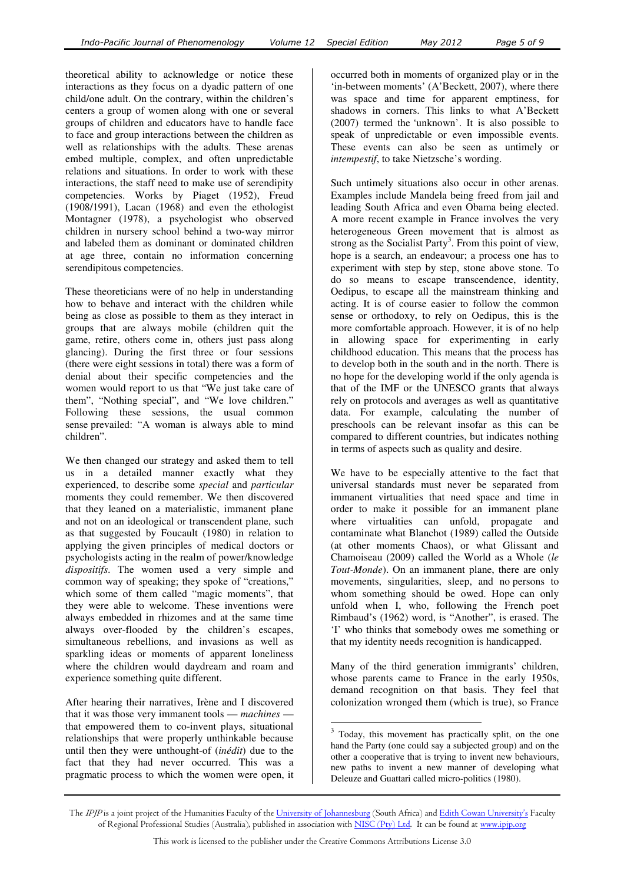theoretical ability to acknowledge or notice these interactions as they focus on a dyadic pattern of one child/one adult. On the contrary, within the children's centers a group of women along with one or several groups of children and educators have to handle face to face and group interactions between the children as well as relationships with the adults. These arenas embed multiple, complex, and often unpredictable relations and situations. In order to work with these interactions, the staff need to make use of serendipity competencies. Works by Piaget (1952), Freud (1908/1991), Lacan (1968) and even the ethologist Montagner (1978), a psychologist who observed children in nursery school behind a two-way mirror and labeled them as dominant or dominated children at age three, contain no information concerning serendipitous competencies.

These theoreticians were of no help in understanding how to behave and interact with the children while being as close as possible to them as they interact in groups that are always mobile (children quit the game, retire, others come in, others just pass along glancing). During the first three or four sessions (there were eight sessions in total) there was a form of denial about their specific competencies and the women would report to us that "We just take care of them", "Nothing special", and "We love children." Following these sessions, the usual common sense prevailed: "A woman is always able to mind children".

We then changed our strategy and asked them to tell us in a detailed manner exactly what they experienced, to describe some *special* and *particular* moments they could remember. We then discovered that they leaned on a materialistic, immanent plane and not on an ideological or transcendent plane, such as that suggested by Foucault (1980) in relation to applying the given principles of medical doctors or psychologists acting in the realm of power/knowledge *dispositifs*. The women used a very simple and common way of speaking; they spoke of "creations," which some of them called "magic moments", that they were able to welcome. These inventions were always embedded in rhizomes and at the same time always over-flooded by the children's escapes, simultaneous rebellions, and invasions as well as sparkling ideas or moments of apparent loneliness where the children would daydream and roam and experience something quite different.

After hearing their narratives, Irène and I discovered that it was those very immanent tools — *machines*  that empowered them to co-invent plays, situational relationships that were properly unthinkable because until then they were unthought-of (*inédit*) due to the fact that they had never occurred. This was a pragmatic process to which the women were open, it

occurred both in moments of organized play or in the 'in-between moments' (A'Beckett, 2007), where there was space and time for apparent emptiness, for shadows in corners. This links to what A'Beckett (2007) termed the 'unknown'. It is also possible to speak of unpredictable or even impossible events. These events can also be seen as untimely or *intempestif*, to take Nietzsche's wording.

Such untimely situations also occur in other arenas. Examples include Mandela being freed from jail and leading South Africa and even Obama being elected. A more recent example in France involves the very heterogeneous Green movement that is almost as strong as the Socialist Party<sup>3</sup>. From this point of view, hope is a search, an endeavour; a process one has to experiment with step by step, stone above stone. To do so means to escape transcendence, identity, Oedipus, to escape all the mainstream thinking and acting. It is of course easier to follow the common sense or orthodoxy, to rely on Oedipus, this is the more comfortable approach. However, it is of no help in allowing space for experimenting in early childhood education. This means that the process has to develop both in the south and in the north. There is no hope for the developing world if the only agenda is that of the IMF or the UNESCO grants that always rely on protocols and averages as well as quantitative data. For example, calculating the number of preschools can be relevant insofar as this can be compared to different countries, but indicates nothing in terms of aspects such as quality and desire.

We have to be especially attentive to the fact that universal standards must never be separated from immanent virtualities that need space and time in order to make it possible for an immanent plane where virtualities can unfold, propagate and contaminate what Blanchot (1989) called the Outside (at other moments Chaos), or what Glissant and Chamoiseau (2009) called the World as a Whole (*le Tout-Monde*). On an immanent plane, there are only movements, singularities, sleep, and no persons to whom something should be owed. Hope can only unfold when I, who, following the French poet Rimbaud's (1962) word, is "Another", is erased. The 'I' who thinks that somebody owes me something or that my identity needs recognition is handicapped.

Many of the third generation immigrants' children, whose parents came to France in the early 1950s, demand recognition on that basis. They feel that colonization wronged them (which is true), so France

 $\overline{a}$ 

 $3$  Today, this movement has practically split, on the one hand the Party (one could say a subjected group) and on the other a cooperative that is trying to invent new behaviours, new paths to invent a new manner of developing what Deleuze and Guattari called micro-politics (1980).

The *IPJP* is a joint project of the Humanities Faculty of the <u>University of Johannesburg</u> (South Africa) and <u>Edith Cowan University's</u> Faculty of Regional Professional Studies (Australia), published in association with <u>NISC (Pty) Ltd</u>. It can be found at <u>www.ipjp.org</u>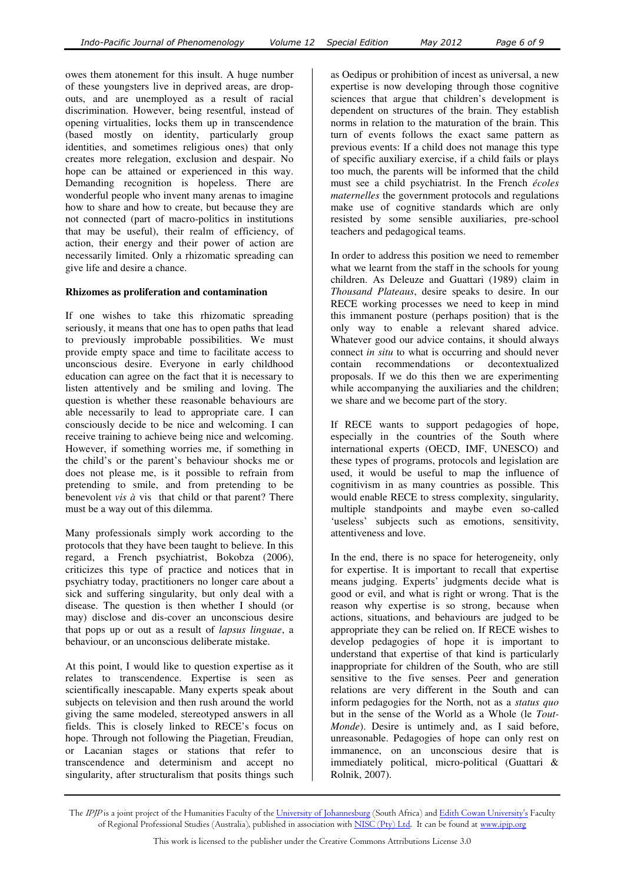discrimination. However, being resentful, instead of opening virtualities, locks them up in transcendence (based mostly on identity, particularly group identities, and sometimes religious ones) that only creates more relegation, exclusion and despair. No hope can be attained or experienced in this way. Demanding recognition is hopeless. There are wonderful people who invent many arenas to imagine how to share and how to create, but because they are not connected (part of macro-politics in institutions that may be useful), their realm of efficiency, of action, their energy and their power of action are necessarily limited. Only a rhizomatic spreading can give life and desire a chance.

# **Rhizomes as proliferation and contamination**

If one wishes to take this rhizomatic spreading seriously, it means that one has to open paths that lead to previously improbable possibilities. We must provide empty space and time to facilitate access to unconscious desire. Everyone in early childhood education can agree on the fact that it is necessary to listen attentively and be smiling and loving. The question is whether these reasonable behaviours are able necessarily to lead to appropriate care. I can consciously decide to be nice and welcoming. I can receive training to achieve being nice and welcoming. However, if something worries me, if something in the child's or the parent's behaviour shocks me or does not please me, is it possible to refrain from pretending to smile, and from pretending to be benevolent *vis à* vis that child or that parent? There must be a way out of this dilemma.

Many professionals simply work according to the protocols that they have been taught to believe. In this regard, a French psychiatrist, Bokobza (2006), criticizes this type of practice and notices that in psychiatry today, practitioners no longer care about a sick and suffering singularity, but only deal with a disease. The question is then whether I should (or may) disclose and dis-cover an unconscious desire that pops up or out as a result of *lapsus linguae*, a behaviour, or an unconscious deliberate mistake.

At this point, I would like to question expertise as it relates to transcendence. Expertise is seen as scientifically inescapable. Many experts speak about subjects on television and then rush around the world giving the same modeled, stereotyped answers in all fields. This is closely linked to RECE's focus on hope. Through not following the Piagetian, Freudian, or Lacanian stages or stations that refer to transcendence and determinism and accept no singularity, after structuralism that posits things such

as Oedipus or prohibition of incest as universal, a new expertise is now developing through those cognitive sciences that argue that children's development is dependent on structures of the brain. They establish norms in relation to the maturation of the brain. This turn of events follows the exact same pattern as previous events: If a child does not manage this type of specific auxiliary exercise, if a child fails or plays too much, the parents will be informed that the child must see a child psychiatrist. In the French *écoles maternelles* the government protocols and regulations make use of cognitive standards which are only resisted by some sensible auxiliaries, pre-school teachers and pedagogical teams.

In order to address this position we need to remember what we learnt from the staff in the schools for young children. As Deleuze and Guattari (1989) claim in *Thousand Plateaus*, desire speaks to desire. In our RECE working processes we need to keep in mind this immanent posture (perhaps position) that is the only way to enable a relevant shared advice. Whatever good our advice contains, it should always connect *in situ* to what is occurring and should never contain recommendations or decontextualized proposals. If we do this then we are experimenting while accompanying the auxiliaries and the children; we share and we become part of the story.

If RECE wants to support pedagogies of hope, especially in the countries of the South where international experts (OECD, IMF, UNESCO) and these types of programs, protocols and legislation are used, it would be useful to map the influence of cognitivism in as many countries as possible. This would enable RECE to stress complexity, singularity, multiple standpoints and maybe even so-called 'useless' subjects such as emotions, sensitivity, attentiveness and love.

In the end, there is no space for heterogeneity, only for expertise. It is important to recall that expertise means judging. Experts' judgments decide what is good or evil, and what is right or wrong. That is the reason why expertise is so strong, because when actions, situations, and behaviours are judged to be appropriate they can be relied on. If RECE wishes to develop pedagogies of hope it is important to understand that expertise of that kind is particularly inappropriate for children of the South, who are still sensitive to the five senses. Peer and generation relations are very different in the South and can inform pedagogies for the North, not as a *status quo* but in the sense of the World as a Whole (le *Tout-Monde*). Desire is untimely and, as I said before, unreasonable. Pedagogies of hope can only rest on immanence, on an unconscious desire that is immediately political, micro-political (Guattari & Rolnik, 2007).

The *IPJP* is a joint project of the Humanities Faculty of the <u>University of Johannesburg</u> (South Africa) and <u>Edith Cowan University's</u> Faculty of Regional Professional Studies (Australia), published in association with <u>NISC (Pty) Ltd</u>. It can be found at <u>www.ipjp.org</u>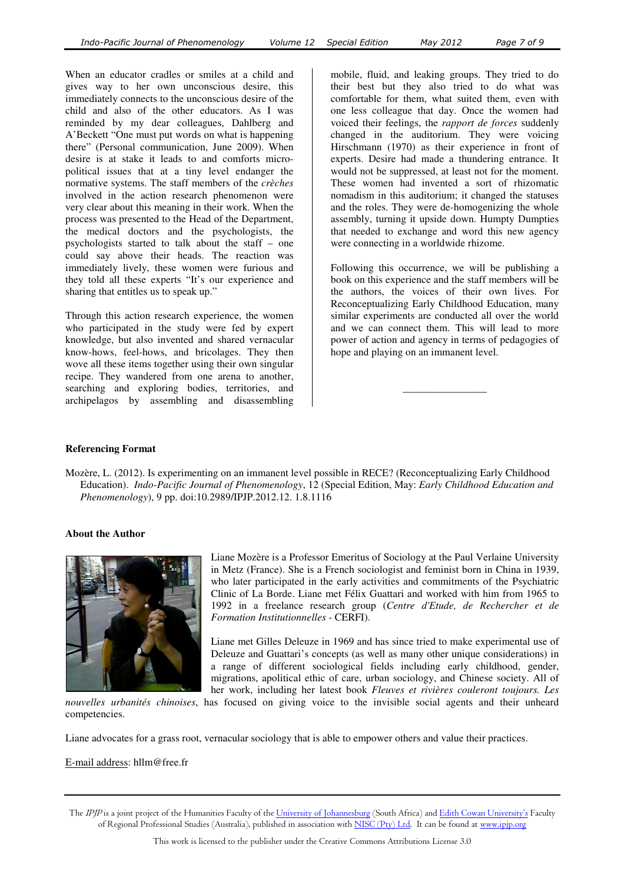When an educator cradles or smiles at a child and gives way to her own unconscious desire, this immediately connects to the unconscious desire of the child and also of the other educators. As I was reminded by my dear colleagues, Dahlberg and A'Beckett "One must put words on what is happening there" (Personal communication, June 2009). When desire is at stake it leads to and comforts micropolitical issues that at a tiny level endanger the normative systems. The staff members of the *crèches* involved in the action research phenomenon were very clear about this meaning in their work. When the process was presented to the Head of the Department, the medical doctors and the psychologists, the psychologists started to talk about the staff – one could say above their heads. The reaction was immediately lively, these women were furious and they told all these experts "It's our experience and sharing that entitles us to speak up."

Through this action research experience, the women who participated in the study were fed by expert knowledge, but also invented and shared vernacular know-hows, feel-hows, and bricolages. They then wove all these items together using their own singular recipe. They wandered from one arena to another, searching and exploring bodies, territories, and archipelagos by assembling and disassembling

mobile, fluid, and leaking groups. They tried to do their best but they also tried to do what was comfortable for them, what suited them, even with one less colleague that day. Once the women had voiced their feelings, the *rapport de forces* suddenly changed in the auditorium. They were voicing Hirschmann (1970) as their experience in front of experts. Desire had made a thundering entrance. It would not be suppressed, at least not for the moment. These women had invented a sort of rhizomatic nomadism in this auditorium; it changed the statuses and the roles. They were de-homogenizing the whole assembly, turning it upside down. Humpty Dumpties that needed to exchange and word this new agency were connecting in a worldwide rhizome.

Following this occurrence, we will be publishing a book on this experience and the staff members will be the authors, the voices of their own lives. For Reconceptualizing Early Childhood Education, many similar experiments are conducted all over the world and we can connect them. This will lead to more power of action and agency in terms of pedagogies of hope and playing on an immanent level.

\_\_\_\_\_\_\_\_\_\_\_\_\_\_\_\_

### **Referencing Format**

Mozère, L. (2012). Is experimenting on an immanent level possible in RECE? (Reconceptualizing Early Childhood Education). *Indo-Pacific Journal of Phenomenology*, 12 (Special Edition, May: *Early Childhood Education and Phenomenology*), 9 pp. doi:10.2989/IPJP.2012.12. 1.8.1116

## **About the Author**



Liane Mozère is a Professor Emeritus of Sociology at the Paul Verlaine University in Metz (France). She is a French sociologist and feminist born in China in 1939, who later participated in the early activities and commitments of the Psychiatric Clinic of La Borde. Liane met Félix Guattari and worked with him from 1965 to 1992 in a freelance research group (*Centre d'Etude, de Rechercher et de Formation Institutionnelles* - CERFI).

Liane met Gilles Deleuze in 1969 and has since tried to make experimental use of Deleuze and Guattari's concepts (as well as many other unique considerations) in a range of different sociological fields including early childhood, gender, migrations, apolitical ethic of care, urban sociology, and Chinese society. All of her work, including her latest book *Fleuves et rivières couleront toujours. Les* 

*nouvelles urbanités chinoises*, has focused on giving voice to the invisible social agents and their unheard competencies.

Liane advocates for a grass root, vernacular sociology that is able to empower others and value their practices.

E-mail address: hllm@free.fr

The IPJP is a joint project of the Humanities Faculty of the University of Johannesburg (South Africa) and Edith Cowan University's Faculty of Regional Professional Studies (Australia), published in association with NISC (Pty) Ltd. It can be found at www.ipjp.org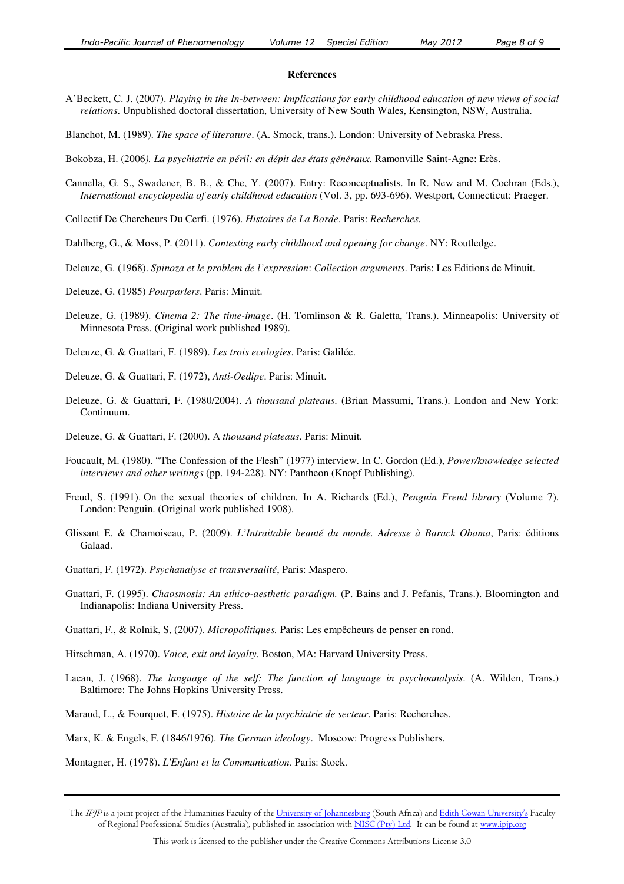#### **References**

- A'Beckett, C. J. (2007). *Playing in the In-between: Implications for early childhood education of new views of social relations*. Unpublished doctoral dissertation, University of New South Wales, Kensington, NSW, Australia.
- Blanchot, M. (1989). *The space of literature*. (A. Smock, trans.). London: University of Nebraska Press.
- Bokobza, H. (2006*). La psychiatrie en péril: en dépit des états généraux*. Ramonville Saint-Agne: Erès.
- Cannella, G. S., Swadener, B. B., & Che, Y. (2007). Entry: Reconceptualists. In R. New and M. Cochran (Eds.), *International encyclopedia of early childhood education* (Vol. 3, pp. 693-696). Westport, Connecticut: Praeger.
- Collectif De Chercheurs Du Cerfi. (1976). *Histoires de La Borde*. Paris: *Recherches.*
- Dahlberg, G., & Moss, P. (2011). *Contesting early childhood and opening for change*. NY: Routledge.
- Deleuze, G. (1968). *Spinoza et le problem de l'expression*: *Collection arguments*. Paris: Les Editions de Minuit.
- Deleuze, G. (1985) *Pourparlers*. Paris: Minuit.
- Deleuze, G. (1989). *Cinema 2: The time-image*. (H. Tomlinson & R. Galetta, Trans.). Minneapolis: University of Minnesota Press. (Original work published 1989).
- Deleuze, G. & Guattari, F. (1989). *Les trois ecologies*. Paris: Galilée.
- Deleuze, G. & Guattari, F. (1972), *Anti-Oedipe*. Paris: Minuit.
- Deleuze, G. & Guattari, F. (1980/2004). *A thousand plateaus*. (Brian Massumi, Trans.). London and New York: Continuum.
- Deleuze, G. & Guattari, F. (2000). A *thousand plateaus*. Paris: Minuit.
- Foucault, M. (1980). "The Confession of the Flesh" (1977) interview. In C. Gordon (Ed.), *Power/knowledge selected interviews and other writings* (pp. 194-228). NY: Pantheon (Knopf Publishing).
- Freud, S. (1991). On the sexual theories of children*.* In A. Richards (Ed.), *Penguin Freud library* (Volume 7). London: Penguin. (Original work published 1908).
- Glissant E. & Chamoiseau, P. (2009). *L'Intraitable beauté du monde. Adresse à Barack Obama*, Paris: éditions Galaad.
- Guattari, F. (1972). *Psychanalyse et transversalité*, Paris: Maspero.
- Guattari, F. (1995). *Chaosmosis: An ethico-aesthetic paradigm.* (P. Bains and J. Pefanis, Trans.). Bloomington and Indianapolis: Indiana University Press.
- Guattari, F., & Rolnik, S, (2007). *Micropolitiques.* Paris: Les empêcheurs de penser en rond.
- Hirschman, A. (1970). *Voice, exit and loyalty*. Boston, MA: Harvard University Press.
- Lacan, J. (1968). *The language of the self: The function of language in psychoanalysis*. (A. Wilden, Trans.) Baltimore: The Johns Hopkins University Press.
- Maraud, L., & Fourquet, F. (1975). *Histoire de la psychiatrie de secteur*. Paris: Recherches.
- Marx, K. & Engels, F. (1846/1976). *The German ideology*. Moscow: Progress Publishers.

Montagner, H. (1978). *L'Enfant et la Communication*. Paris: Stock.

The IPJP is a joint project of the Humanities Faculty of the University of Johannesburg (South Africa) and Edith Cowan University's Faculty of Regional Professional Studies (Australia), published in association with NISC (Pty) Ltd. It can be found at www.ipjp.org